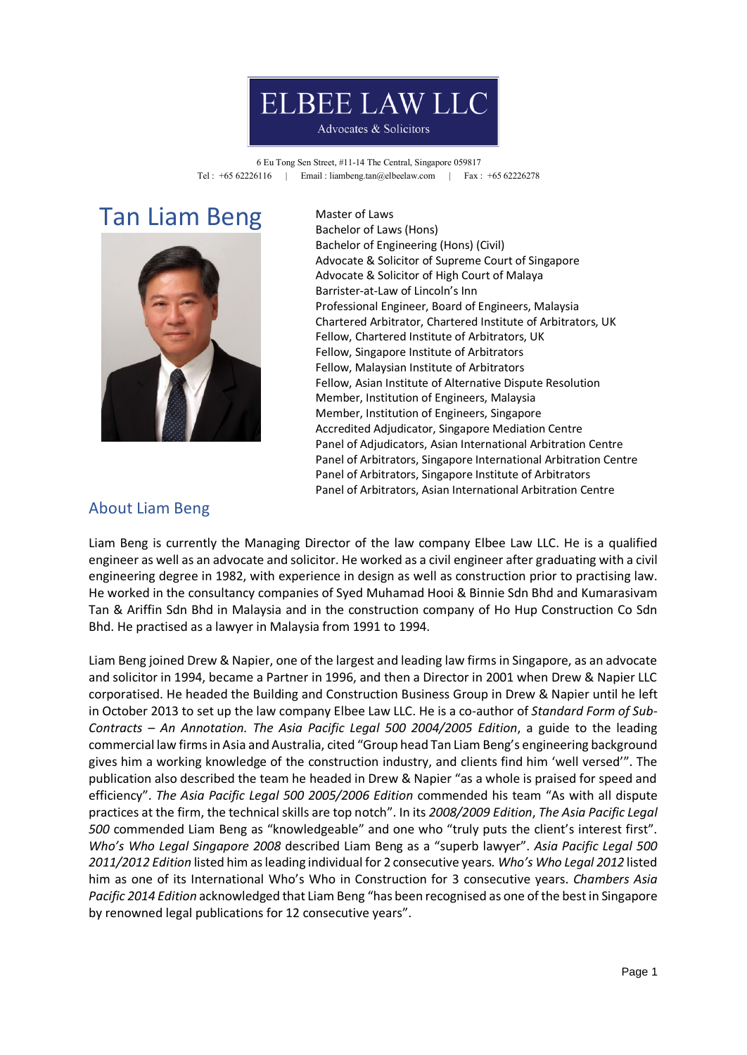# **ELBEE LAW LLC**

#### Advocates & Solicitors

6 Eu Tong Sen Street, #11-14 The Central, Singapore 059817 Tel : +65 62226116 | Email : liambeng.tan@elbeelaw.com | Fax : +65 62226278

## Tan Liam Beng Master of Laws



Bachelor of Laws (Hons) Bachelor of Engineering (Hons) (Civil) Advocate & Solicitor of Supreme Court of Singapore Advocate & Solicitor of High Court of Malaya Barrister-at-Law of Lincoln's Inn Professional Engineer, Board of Engineers, Malaysia Chartered Arbitrator, Chartered Institute of Arbitrators, UK Fellow, Chartered Institute of Arbitrators, UK Fellow, Singapore Institute of Arbitrators Fellow, Malaysian Institute of Arbitrators Fellow, Asian Institute of Alternative Dispute Resolution Member, Institution of Engineers, Malaysia Member, Institution of Engineers, Singapore Accredited Adjudicator, Singapore Mediation Centre Panel of Adjudicators, Asian International Arbitration Centre Panel of Arbitrators, Singapore International Arbitration Centre Panel of Arbitrators, Singapore Institute of Arbitrators Panel of Arbitrators, Asian International Arbitration Centre

### About Liam Beng

Liam Beng is currently the Managing Director of the law company Elbee Law LLC. He is a qualified engineer as well as an advocate and solicitor. He worked as a civil engineer after graduating with a civil engineering degree in 1982, with experience in design as well as construction prior to practising law. He worked in the consultancy companies of Syed Muhamad Hooi & Binnie Sdn Bhd and Kumarasivam Tan & Ariffin Sdn Bhd in Malaysia and in the construction company of Ho Hup Construction Co Sdn Bhd. He practised as a lawyer in Malaysia from 1991 to 1994.

Liam Beng joined Drew & Napier, one of the largest and leading law firms in Singapore, as an advocate and solicitor in 1994, became a Partner in 1996, and then a Director in 2001 when Drew & Napier LLC corporatised. He headed the Building and Construction Business Group in Drew & Napier until he left in October 2013 to set up the law company Elbee Law LLC. He is a co-author of *Standard Form of Sub-Contracts – An Annotation. The Asia Pacific Legal 500 2004/2005 Edition*, a guide to the leading commercial law firms in Asia and Australia, cited "Group head Tan Liam Beng's engineering background gives him a working knowledge of the construction industry, and clients find him 'well versed'". The publication also described the team he headed in Drew & Napier "as a whole is praised for speed and efficiency". *The Asia Pacific Legal 500 2005/2006 Edition* commended his team "As with all dispute practices at the firm, the technical skills are top notch". In its *2008/2009 Edition*, *The Asia Pacific Legal 500* commended Liam Beng as "knowledgeable" and one who "truly puts the client's interest first". *Who's Who Legal Singapore 2008* described Liam Beng as a "superb lawyer". *Asia Pacific Legal 500 2011/2012 Edition* listed him as leading individual for 2 consecutive years*. Who's Who Legal 2012* listed him as one of its International Who's Who in Construction for 3 consecutive years. *Chambers Asia Pacific 2014 Edition* acknowledged that Liam Beng "has been recognised as one of the best in Singapore by renowned legal publications for 12 consecutive years".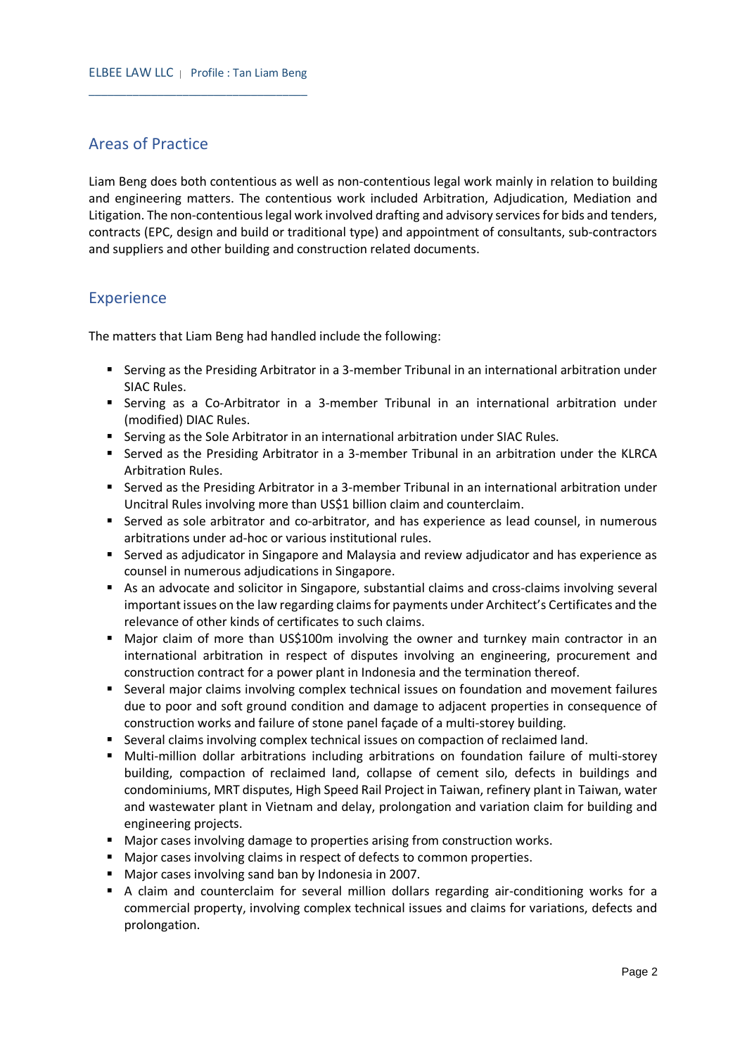#### Areas of Practice

Liam Beng does both contentious as well as non-contentious legal work mainly in relation to building and engineering matters. The contentious work included Arbitration, Adjudication, Mediation and Litigation. The non-contentious legal work involved drafting and advisory services for bids and tenders, contracts (EPC, design and build or traditional type) and appointment of consultants, sub-contractors and suppliers and other building and construction related documents.

#### **Experience**

The matters that Liam Beng had handled include the following:

- Serving as the Presiding Arbitrator in a 3-member Tribunal in an international arbitration under SIAC Rules.
- Serving as a Co-Arbitrator in a 3-member Tribunal in an international arbitration under (modified) DIAC Rules.
- **Serving as the Sole Arbitrator in an international arbitration under SIAC Rules.**
- Served as the Presiding Arbitrator in a 3-member Tribunal in an arbitration under the KLRCA Arbitration Rules.
- Served as the Presiding Arbitrator in a 3-member Tribunal in an international arbitration under Uncitral Rules involving more than US\$1 billion claim and counterclaim.
- Served as sole arbitrator and co-arbitrator, and has experience as lead counsel, in numerous arbitrations under ad-hoc or various institutional rules.
- Served as adjudicator in Singapore and Malaysia and review adjudicator and has experience as counsel in numerous adjudications in Singapore.
- As an advocate and solicitor in Singapore, substantial claims and cross-claims involving several important issues on the law regarding claims for payments under Architect's Certificates and the relevance of other kinds of certificates to such claims.
- Major claim of more than US\$100m involving the owner and turnkey main contractor in an international arbitration in respect of disputes involving an engineering, procurement and construction contract for a power plant in Indonesia and the termination thereof.
- Several major claims involving complex technical issues on foundation and movement failures due to poor and soft ground condition and damage to adjacent properties in consequence of construction works and failure of stone panel façade of a multi-storey building.
- **Several claims involving complex technical issues on compaction of reclaimed land.**
- **•** Multi-million dollar arbitrations including arbitrations on foundation failure of multi-storey building, compaction of reclaimed land, collapse of cement silo, defects in buildings and condominiums, MRT disputes, High Speed Rail Project in Taiwan, refinery plant in Taiwan, water and wastewater plant in Vietnam and delay, prolongation and variation claim for building and engineering projects.
- Major cases involving damage to properties arising from construction works.
- Major cases involving claims in respect of defects to common properties.
- Major cases involving sand ban by Indonesia in 2007.
- A claim and counterclaim for several million dollars regarding air-conditioning works for a commercial property, involving complex technical issues and claims for variations, defects and prolongation.